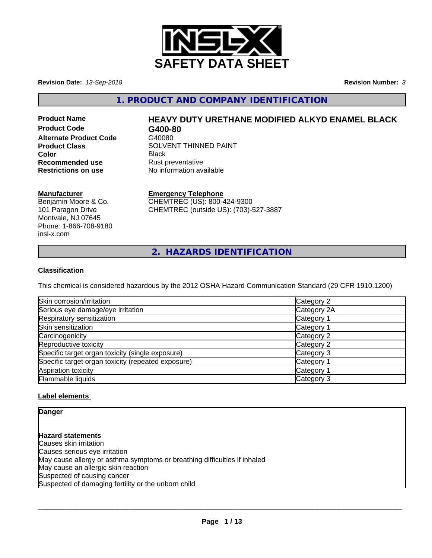

**Revision Date:** *13-Sep-2018* **Revision Number:** *3*

**1. PRODUCT AND COMPANY IDENTIFICATION**

**Product Code G400-80 Alternate Product Code** G40080 **Recommended use** Rust preventative<br> **Restrictions on use** No information ave

# **Product Name HEAVY DUTY URETHANE MODIFIED ALKYD ENAMEL BLACK**

**Product Class SOLVENT THINNED PAINT Color** Black **No information available** 

### **Manufacturer**

Benjamin Moore & Co. 101 Paragon Drive Montvale, NJ 07645 Phone: 1-866-708-9180 insl-x.com

# **Emergency Telephone**

CHEMTREC (US): 800-424-9300 CHEMTREC (outside US): (703)-527-3887

**2. HAZARDS IDENTIFICATION**

### **Classification**

This chemical is considered hazardous by the 2012 OSHA Hazard Communication Standard (29 CFR 1910.1200)

| Skin corrosion/irritation                          | Category 2            |
|----------------------------------------------------|-----------------------|
| Serious eye damage/eye irritation                  | Category 2A           |
| Respiratory sensitization                          | Category 1            |
| Skin sensitization                                 | Category 1            |
| Carcinogenicity                                    | Category 2            |
| Reproductive toxicity                              | Category 2            |
| Specific target organ toxicity (single exposure)   | Category 3            |
| Specific target organ toxicity (repeated exposure) | Category 1            |
| Aspiration toxicity                                | Category <sup>2</sup> |
| Flammable liquids                                  | Category 3            |

### **Label elements**

**Danger**

# **Hazard statements**

Causes skin irritation Causes serious eye irritation May cause allergy or asthma symptoms or breathing difficulties if inhaled May cause an allergic skin reaction Suspected of causing cancer Suspected of damaging fertility or the unborn child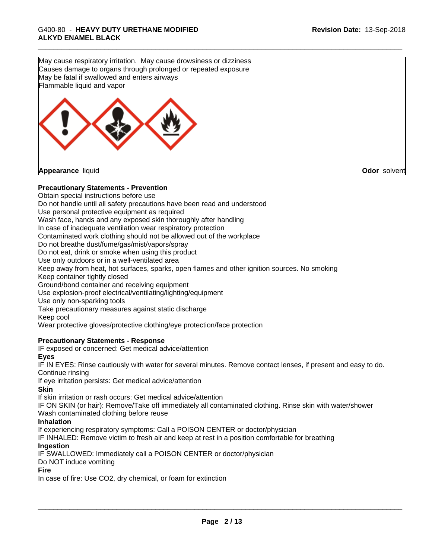May cause respiratory irritation. May cause drowsiness or dizziness Causes damage to organs through prolonged or repeated exposure May be fatal if swallowed and enters airways Flammable liquid and vapor



### **Precautionary Statements - Prevention**

Obtain special instructions before use

Do not handle until all safety precautions have been read and understood

Use personal protective equipment as required

Wash face, hands and any exposed skin thoroughly after handling

In case of inadequate ventilation wear respiratory protection

Contaminated work clothing should not be allowed out of the workplace

Do not breathe dust/fume/gas/mist/vapors/spray

Do not eat, drink or smoke when using this product

Use only outdoors or in a well-ventilated area

Keep away from heat, hot surfaces, sparks, open flames and other ignition sources. No smoking Keep container tightly closed

Ground/bond container and receiving equipment

Use explosion-proof electrical/ventilating/lighting/equipment

Use only non-sparking tools

Take precautionary measures against static discharge

Keep cool

Wear protective gloves/protective clothing/eye protection/face protection

### **Precautionary Statements - Response**

IF exposed or concerned: Get medical advice/attention

### **Eyes**

IF IN EYES: Rinse cautiously with water for several minutes. Remove contact lenses, if present and easy to do. Continue rinsing

If eye irritation persists: Get medical advice/attention

### **Skin**

If skin irritation or rash occurs: Get medical advice/attention

IF ON SKIN (or hair): Remove/Take off immediately all contaminated clothing. Rinse skin with water/shower Wash contaminated clothing before reuse

### **Inhalation**

If experiencing respiratory symptoms: Call a POISON CENTER or doctor/physician

IF INHALED: Remove victim to fresh air and keep at rest in a position comfortable for breathing

### **Ingestion**

IF SWALLOWED: Immediately call a POISON CENTER or doctor/physician

Do NOT induce vomiting

### **Fire**

In case of fire: Use CO2, dry chemical, or foam for extinction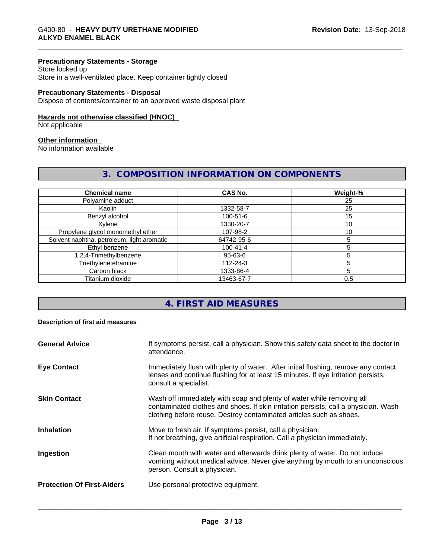### **Precautionary Statements - Storage**

Store locked up Store in a well-ventilated place. Keep container tightly closed

### **Precautionary Statements - Disposal**

Dispose of contents/container to an approved waste disposal plant

# **Hazards not otherwise classified (HNOC)**

Not applicable

### **Other information**

No information available

# **3. COMPOSITION INFORMATION ON COMPONENTS**

| <b>Chemical name</b>                       | <b>CAS No.</b> | Weight-% |
|--------------------------------------------|----------------|----------|
| Polyamine adduct                           |                | 25       |
| Kaolin                                     | 1332-58-7      | 25       |
| Benzyl alcohol                             | 100-51-6       | 15       |
| Xylene                                     | 1330-20-7      | 10       |
| Propylene glycol monomethyl ether          | 107-98-2       | 10       |
| Solvent naphtha, petroleum, light aromatic | 64742-95-6     |          |
| Ethyl benzene                              | $100 - 41 - 4$ |          |
| 1,2,4-Trimethylbenzene                     | $95 - 63 - 6$  |          |
| Triethylenetetramine                       | $112 - 24 - 3$ |          |
| Carbon black                               | 1333-86-4      |          |
| Titanium dioxide                           | 13463-67-7     | 0.5      |

# **4. FIRST AID MEASURES**

### **Description of first aid measures**

| <b>General Advice</b>             | If symptoms persist, call a physician. Show this safety data sheet to the doctor in<br>attendance.                                                                                                                                  |
|-----------------------------------|-------------------------------------------------------------------------------------------------------------------------------------------------------------------------------------------------------------------------------------|
| <b>Eye Contact</b>                | Immediately flush with plenty of water. After initial flushing, remove any contact<br>lenses and continue flushing for at least 15 minutes. If eye irritation persists,<br>consult a specialist.                                    |
| <b>Skin Contact</b>               | Wash off immediately with soap and plenty of water while removing all<br>contaminated clothes and shoes. If skin irritation persists, call a physician. Wash<br>clothing before reuse. Destroy contaminated articles such as shoes. |
| <b>Inhalation</b>                 | Move to fresh air. If symptoms persist, call a physician.<br>If not breathing, give artificial respiration. Call a physician immediately.                                                                                           |
| Ingestion                         | Clean mouth with water and afterwards drink plenty of water. Do not induce<br>vomiting without medical advice. Never give anything by mouth to an unconscious<br>person. Consult a physician.                                       |
| <b>Protection Of First-Aiders</b> | Use personal protective equipment.                                                                                                                                                                                                  |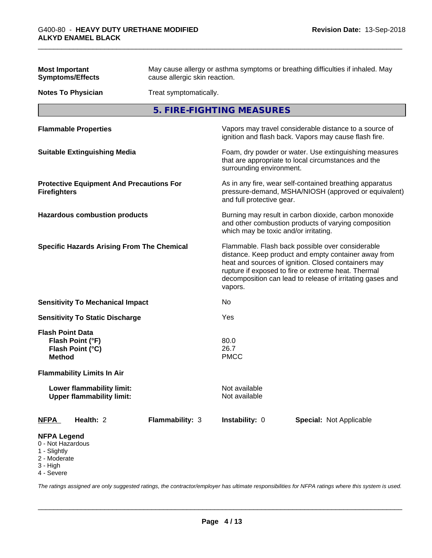| <b>Most Important</b><br><b>Symptoms/Effects</b>                                                  | May cause allergy or asthma symptoms or breathing difficulties if inhaled. May<br>cause allergic skin reaction. |                                                                                                                                                        |                                                                                                                                                                                                                                                                                     |  |  |
|---------------------------------------------------------------------------------------------------|-----------------------------------------------------------------------------------------------------------------|--------------------------------------------------------------------------------------------------------------------------------------------------------|-------------------------------------------------------------------------------------------------------------------------------------------------------------------------------------------------------------------------------------------------------------------------------------|--|--|
| <b>Notes To Physician</b>                                                                         | Treat symptomatically.                                                                                          |                                                                                                                                                        |                                                                                                                                                                                                                                                                                     |  |  |
|                                                                                                   |                                                                                                                 | 5. FIRE-FIGHTING MEASURES                                                                                                                              |                                                                                                                                                                                                                                                                                     |  |  |
| <b>Flammable Properties</b>                                                                       |                                                                                                                 |                                                                                                                                                        | Vapors may travel considerable distance to a source of<br>ignition and flash back. Vapors may cause flash fire.                                                                                                                                                                     |  |  |
| <b>Suitable Extinguishing Media</b>                                                               |                                                                                                                 |                                                                                                                                                        | Foam, dry powder or water. Use extinguishing measures<br>that are appropriate to local circumstances and the<br>surrounding environment.                                                                                                                                            |  |  |
| <b>Protective Equipment And Precautions For</b><br><b>Firefighters</b>                            |                                                                                                                 | As in any fire, wear self-contained breathing apparatus<br>pressure-demand, MSHA/NIOSH (approved or equivalent)<br>and full protective gear.           |                                                                                                                                                                                                                                                                                     |  |  |
| <b>Hazardous combustion products</b>                                                              |                                                                                                                 | Burning may result in carbon dioxide, carbon monoxide<br>and other combustion products of varying composition<br>which may be toxic and/or irritating. |                                                                                                                                                                                                                                                                                     |  |  |
| <b>Specific Hazards Arising From The Chemical</b>                                                 |                                                                                                                 | vapors.                                                                                                                                                | Flammable. Flash back possible over considerable<br>distance. Keep product and empty container away from<br>heat and sources of ignition. Closed containers may<br>rupture if exposed to fire or extreme heat. Thermal<br>decomposition can lead to release of irritating gases and |  |  |
| <b>Sensitivity To Mechanical Impact</b>                                                           |                                                                                                                 | No                                                                                                                                                     |                                                                                                                                                                                                                                                                                     |  |  |
| <b>Sensitivity To Static Discharge</b>                                                            |                                                                                                                 | Yes                                                                                                                                                    |                                                                                                                                                                                                                                                                                     |  |  |
| <b>Flash Point Data</b><br>Flash Point (°F)<br>Flash Point (°C)<br><b>Method</b>                  |                                                                                                                 | 80.0<br>26.7<br><b>PMCC</b>                                                                                                                            |                                                                                                                                                                                                                                                                                     |  |  |
| <b>Flammability Limits In Air</b>                                                                 |                                                                                                                 |                                                                                                                                                        |                                                                                                                                                                                                                                                                                     |  |  |
| Lower flammability limit:<br><b>Upper flammability limit:</b>                                     |                                                                                                                 | Not available<br>Not available                                                                                                                         |                                                                                                                                                                                                                                                                                     |  |  |
| Health: 2<br><b>NFPA</b>                                                                          | Flammability: 3                                                                                                 | Instability: 0                                                                                                                                         | <b>Special: Not Applicable</b>                                                                                                                                                                                                                                                      |  |  |
| <b>NFPA Legend</b><br>0 - Not Hazardous<br>1 - Slightly<br>2 - Moderate<br>3 - High<br>4 - Severe |                                                                                                                 |                                                                                                                                                        |                                                                                                                                                                                                                                                                                     |  |  |

*The ratings assigned are only suggested ratings, the contractor/employer has ultimate responsibilities for NFPA ratings where this system is used.*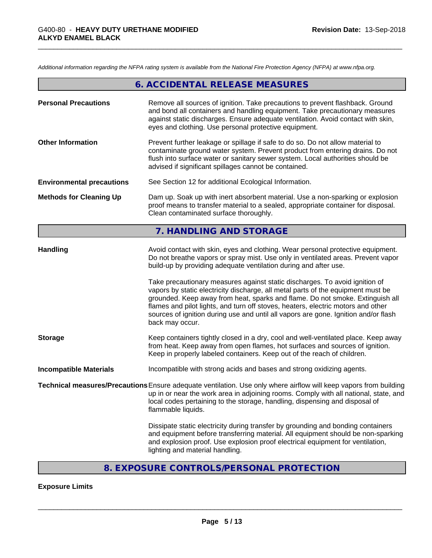*Additional information regarding the NFPA rating system is available from the National Fire Protection Agency (NFPA) at www.nfpa.org.*

|                                  | 6. ACCIDENTAL RELEASE MEASURES                                                                                                                                                                                                                                                                                                                                                                                                                 |
|----------------------------------|------------------------------------------------------------------------------------------------------------------------------------------------------------------------------------------------------------------------------------------------------------------------------------------------------------------------------------------------------------------------------------------------------------------------------------------------|
| <b>Personal Precautions</b>      | Remove all sources of ignition. Take precautions to prevent flashback. Ground<br>and bond all containers and handling equipment. Take precautionary measures<br>against static discharges. Ensure adequate ventilation. Avoid contact with skin,<br>eyes and clothing. Use personal protective equipment.                                                                                                                                      |
| <b>Other Information</b>         | Prevent further leakage or spillage if safe to do so. Do not allow material to<br>contaminate ground water system. Prevent product from entering drains. Do not<br>flush into surface water or sanitary sewer system. Local authorities should be<br>advised if significant spillages cannot be contained.                                                                                                                                     |
| <b>Environmental precautions</b> | See Section 12 for additional Ecological Information.                                                                                                                                                                                                                                                                                                                                                                                          |
| <b>Methods for Cleaning Up</b>   | Dam up. Soak up with inert absorbent material. Use a non-sparking or explosion<br>proof means to transfer material to a sealed, appropriate container for disposal.<br>Clean contaminated surface thoroughly.                                                                                                                                                                                                                                  |
|                                  | 7. HANDLING AND STORAGE                                                                                                                                                                                                                                                                                                                                                                                                                        |
| <b>Handling</b>                  | Avoid contact with skin, eyes and clothing. Wear personal protective equipment.<br>Do not breathe vapors or spray mist. Use only in ventilated areas. Prevent vapor<br>build-up by providing adequate ventilation during and after use.                                                                                                                                                                                                        |
|                                  | Take precautionary measures against static discharges. To avoid ignition of<br>vapors by static electricity discharge, all metal parts of the equipment must be<br>grounded. Keep away from heat, sparks and flame. Do not smoke. Extinguish all<br>flames and pilot lights, and turn off stoves, heaters, electric motors and other<br>sources of ignition during use and until all vapors are gone. Ignition and/or flash<br>back may occur. |
| <b>Storage</b>                   | Keep containers tightly closed in a dry, cool and well-ventilated place. Keep away<br>from heat. Keep away from open flames, hot surfaces and sources of ignition.<br>Keep in properly labeled containers. Keep out of the reach of children.                                                                                                                                                                                                  |
| <b>Incompatible Materials</b>    | Incompatible with strong acids and bases and strong oxidizing agents.                                                                                                                                                                                                                                                                                                                                                                          |
|                                  | Technical measures/Precautions Ensure adequate ventilation. Use only where airflow will keep vapors from building<br>up in or near the work area in adjoining rooms. Comply with all national, state, and<br>local codes pertaining to the storage, handling, dispensing and disposal of<br>flammable liquids.                                                                                                                                 |
|                                  | Dissipate static electricity during transfer by grounding and bonding containers<br>and equipment before transferring material. All equipment should be non-sparking<br>and explosion proof. Use explosion proof electrical equipment for ventilation,<br>lighting and material handling.                                                                                                                                                      |

# **8. EXPOSURE CONTROLS/PERSONAL PROTECTION**

# **Exposure Limits**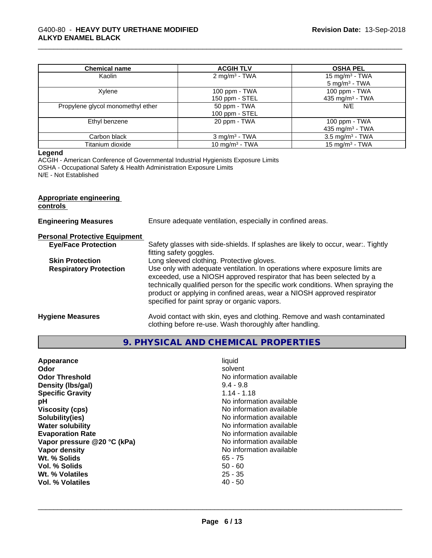### \_\_\_\_\_\_\_\_\_\_\_\_\_\_\_\_\_\_\_\_\_\_\_\_\_\_\_\_\_\_\_\_\_\_\_\_\_\_\_\_\_\_\_\_\_\_\_\_\_\_\_\_\_\_\_\_\_\_\_\_\_\_\_\_\_\_\_\_\_\_\_\_\_\_\_\_\_\_\_\_\_\_\_\_\_\_\_\_\_\_\_\_\_ G400-80 - **HEAVY DUTY URETHANE MODIFIED ALKYD ENAMEL BLACK**

| <b>Chemical name</b>              | <b>ACGIH TLV</b>                  | <b>OSHA PEL</b>                                |
|-----------------------------------|-----------------------------------|------------------------------------------------|
| Kaolin                            | 2 mg/m <sup>3</sup> - TWA         | 15 mg/m $3$ - TWA<br>5 mg/m <sup>3</sup> - TWA |
| Xylene                            | 100 ppm - $TWA$<br>150 ppm - STEL | 100 ppm - TWA<br>435 mg/m <sup>3</sup> - TWA   |
| Propylene glycol monomethyl ether | 50 ppm - TWA<br>100 ppm - STEL    | N/E                                            |
| Ethyl benzene                     | 20 ppm - TWA                      | 100 ppm - TWA<br>435 mg/m <sup>3</sup> - TWA   |
| Carbon black                      | $3$ mg/m <sup>3</sup> - TWA       | $3.5 \text{ mg/m}^3$ - TWA                     |
| Titanium dioxide                  | 10 mg/m <sup>3</sup> - TWA        | 15 mg/m <sup>3</sup> - TWA                     |

### **Legend**

ACGIH - American Conference of Governmental Industrial Hygienists Exposure Limits OSHA - Occupational Safety & Health Administration Exposure Limits N/E - Not Established

### **Appropriate engineering controls**

| <b>Engineering Measures</b>          | Ensure adequate ventilation, especially in confined areas.                                                                                                                                                                                                                                                                                                          |
|--------------------------------------|---------------------------------------------------------------------------------------------------------------------------------------------------------------------------------------------------------------------------------------------------------------------------------------------------------------------------------------------------------------------|
| <b>Personal Protective Equipment</b> |                                                                                                                                                                                                                                                                                                                                                                     |
| <b>Eye/Face Protection</b>           | Safety glasses with side-shields. If splashes are likely to occur, wear:. Tightly<br>fitting safety goggles.                                                                                                                                                                                                                                                        |
| <b>Skin Protection</b>               | Long sleeved clothing. Protective gloves.                                                                                                                                                                                                                                                                                                                           |
| <b>Respiratory Protection</b>        | Use only with adequate ventilation. In operations where exposure limits are<br>exceeded, use a NIOSH approved respirator that has been selected by a<br>technically qualified person for the specific work conditions. When spraying the<br>product or applying in confined areas, wear a NIOSH approved respirator<br>specified for paint spray or organic vapors. |
| <b>Hygiene Measures</b>              | Avoid contact with skin, eyes and clothing. Remove and wash contaminated<br>clothing before re-use. Wash thoroughly after handling.                                                                                                                                                                                                                                 |

# **9. PHYSICAL AND CHEMICAL PROPERTIES**

| Appearance<br>Odor<br><b>Odor Threshold</b><br>Density (Ibs/gal)<br><b>Specific Gravity</b><br>рH<br><b>Viscosity (cps)</b><br>Solubility(ies)<br><b>Water solubility</b><br><b>Evaporation Rate</b><br>Vapor pressure @20 °C (kPa)<br>Vapor density<br>Wt. % Solids<br>Vol. % Solids<br>Wt. % Volatiles<br>Vol. % Volatiles | liquid<br>solvent<br>No information available<br>$9.4 - 9.8$<br>$1.14 - 1.18$<br>No information available<br>No information available<br>No information available<br>No information available<br>No information available<br>No information available<br>No information available<br>$65 - 75$<br>$50 - 60$<br>$25 - 35$<br>$40 - 50$ |  |
|------------------------------------------------------------------------------------------------------------------------------------------------------------------------------------------------------------------------------------------------------------------------------------------------------------------------------|---------------------------------------------------------------------------------------------------------------------------------------------------------------------------------------------------------------------------------------------------------------------------------------------------------------------------------------|--|
|------------------------------------------------------------------------------------------------------------------------------------------------------------------------------------------------------------------------------------------------------------------------------------------------------------------------------|---------------------------------------------------------------------------------------------------------------------------------------------------------------------------------------------------------------------------------------------------------------------------------------------------------------------------------------|--|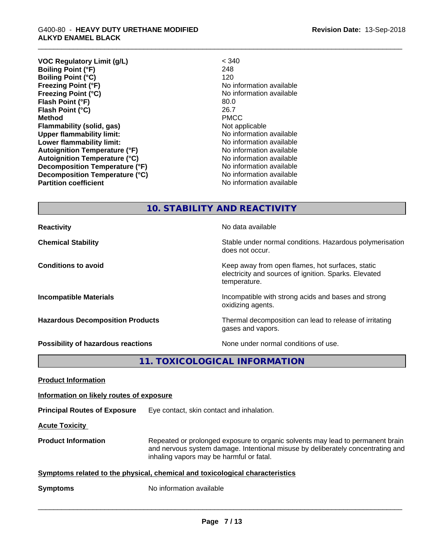**VOC Regulatory Limit (g/L)** < 340 **Boiling Point (°F)** 248 **Boiling Point (°C) Freezing Point (°F)** No information available **Freezing Point (°C)** The Control of the Monometer of Noinformation available **Flash Point (°F)** 80.0 **Flash Point (°C)** 26.7 **Method** PMCC **Flammability (solid, gas)** Not applicable **Upper flammability limit:** No information available **Lower flammability limit:**  $\qquad \qquad \qquad$  No information available **Autoignition Temperature (°F)** No information available **Autoignition Temperature (°C)**<br> **Decomposition Temperature (°F)** No information available **Decomposition Temperature (°F) Decomposition Temperature (°C)** No information available **Partition coefficient Contract Contract Contract Contract Contract Contract Contract Contract Contract Contract Contract Contract Contract Contract Contract Contract Contract Contract Contract Contract Contract Contract** 

| <b>10. STABILITY AND REACTIVITY</b> |  |
|-------------------------------------|--|
|                                     |  |

**Reactivity No data available** 

**Chemical Stability Stability** Stable under normal conditions. Hazardous polymerisation

**Conditions to avoid Keep away from open flames, hot surfaces, static conditions to avoid** 

**Incompatible Materials Incompatible with strong acids and bases and strong** 

**Hazardous Decomposition Products** Thermal decomposition can lead to release of irritating gases and vapors.

oxidizing agents.

does not occur.

temperature.

**Possibility of hazardous reactions** None under normal conditions of use.

electricity and sources of ignition. Sparks. Elevated

**11. TOXICOLOGICAL INFORMATION**

**Product Information**

**Information on likely routes of exposure**

**Principal Routes of Exposure** Eye contact, skin contact and inhalation.

**Acute Toxicity** 

**Product Information** Repeated or prolonged exposure to organic solvents may lead to permanent brain and nervous system damage. Intentional misuse by deliberately concentrating and inhaling vapors may be harmful or fatal.

 $\overline{\phantom{a}}$  ,  $\overline{\phantom{a}}$  ,  $\overline{\phantom{a}}$  ,  $\overline{\phantom{a}}$  ,  $\overline{\phantom{a}}$  ,  $\overline{\phantom{a}}$  ,  $\overline{\phantom{a}}$  ,  $\overline{\phantom{a}}$  ,  $\overline{\phantom{a}}$  ,  $\overline{\phantom{a}}$  ,  $\overline{\phantom{a}}$  ,  $\overline{\phantom{a}}$  ,  $\overline{\phantom{a}}$  ,  $\overline{\phantom{a}}$  ,  $\overline{\phantom{a}}$  ,  $\overline{\phantom{a}}$ 

**Symptoms** related to the physical, chemical and toxicological characteristics

**Symptoms** No information available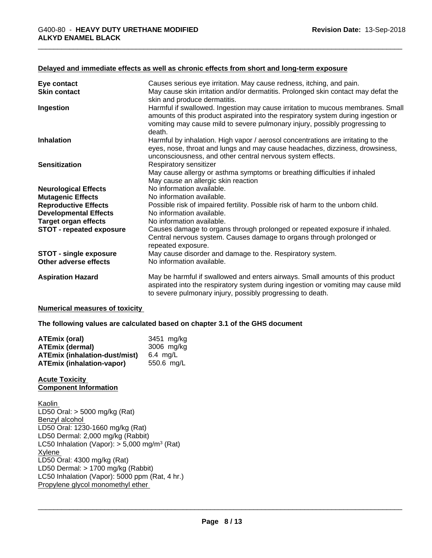### **Delayed and immediate effects as well as chronic effects from short and long-term exposure**

| Eye contact                                                 | Causes serious eye irritation. May cause redness, itching, and pain.                                                                                                                                                                                          |
|-------------------------------------------------------------|---------------------------------------------------------------------------------------------------------------------------------------------------------------------------------------------------------------------------------------------------------------|
| <b>Skin contact</b>                                         | May cause skin irritation and/or dermatitis. Prolonged skin contact may defat the<br>skin and produce dermatitis.                                                                                                                                             |
| Ingestion                                                   | Harmful if swallowed. Ingestion may cause irritation to mucous membranes. Small<br>amounts of this product aspirated into the respiratory system during ingestion or<br>vomiting may cause mild to severe pulmonary injury, possibly progressing to<br>death. |
| <b>Inhalation</b>                                           | Harmful by inhalation. High vapor / aerosol concentrations are irritating to the<br>eyes, nose, throat and lungs and may cause headaches, dizziness, drowsiness,<br>unconsciousness, and other central nervous system effects.                                |
| <b>Sensitization</b>                                        | Respiratory sensitizer<br>May cause allergy or asthma symptoms or breathing difficulties if inhaled<br>May cause an allergic skin reaction                                                                                                                    |
| <b>Neurological Effects</b>                                 | No information available.                                                                                                                                                                                                                                     |
| <b>Mutagenic Effects</b>                                    | No information available.                                                                                                                                                                                                                                     |
| <b>Reproductive Effects</b><br><b>Developmental Effects</b> | Possible risk of impaired fertility. Possible risk of harm to the unborn child.<br>No information available.                                                                                                                                                  |
| <b>Target organ effects</b>                                 | No information available.                                                                                                                                                                                                                                     |
| <b>STOT - repeated exposure</b>                             | Causes damage to organs through prolonged or repeated exposure if inhaled.<br>Central nervous system. Causes damage to organs through prolonged or<br>repeated exposure.                                                                                      |
| STOT - single exposure<br>Other adverse effects             | May cause disorder and damage to the. Respiratory system.<br>No information available.                                                                                                                                                                        |
| <b>Aspiration Hazard</b>                                    | May be harmful if swallowed and enters airways. Small amounts of this product<br>aspirated into the respiratory system during ingestion or vomiting may cause mild                                                                                            |

to severe pulmonary injury, possibly progressing to death.

#### **Numerical measures of toxicity**

**The following values are calculated based on chapter 3.1 of the GHS document**

| <b>ATEmix (oral)</b>                 | 3451 mg/kg    |
|--------------------------------------|---------------|
| ATEmix (dermal)                      | 3006 mg/kg    |
| <b>ATEmix (inhalation-dust/mist)</b> | $6.4 \,$ ma/L |
| <b>ATEmix (inhalation-vapor)</b>     | 550.6 mg/L    |

### **Acute Toxicity Component Information**

Kaolin LD50 Oral: > 5000 mg/kg (Rat) Benzyl alcohol LD50 Oral: 1230-1660 mg/kg (Rat) LD50 Dermal: 2,000 mg/kg (Rabbit) LC50 Inhalation (Vapor): > 5,000 mg/m<sup>3</sup> (Rat) Xylene LD50 Oral: 4300 mg/kg (Rat) LD50 Dermal: > 1700 mg/kg (Rabbit) LC50 Inhalation (Vapor): 5000 ppm (Rat, 4 hr.) Propylene glycol monomethyl ether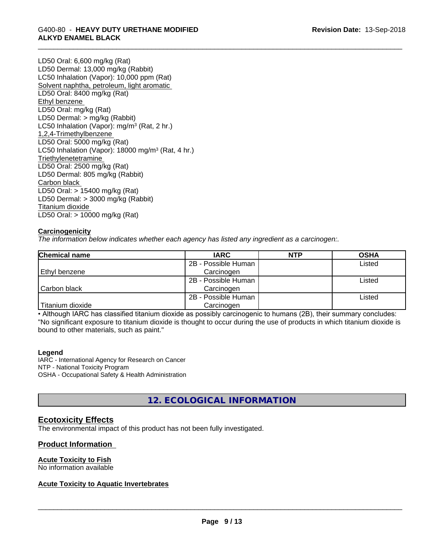# \_\_\_\_\_\_\_\_\_\_\_\_\_\_\_\_\_\_\_\_\_\_\_\_\_\_\_\_\_\_\_\_\_\_\_\_\_\_\_\_\_\_\_\_\_\_\_\_\_\_\_\_\_\_\_\_\_\_\_\_\_\_\_\_\_\_\_\_\_\_\_\_\_\_\_\_\_\_\_\_\_\_\_\_\_\_\_\_\_\_\_\_\_ G400-80 - **HEAVY DUTY URETHANE MODIFIED ALKYD ENAMEL BLACK**

LD50 Oral: 6,600 mg/kg (Rat) LD50 Dermal: 13,000 mg/kg (Rabbit) LC50 Inhalation (Vapor): 10,000 ppm (Rat) Solvent naphtha, petroleum, light aromatic LD50 Oral: 8400 mg/kg (Rat) Ethyl benzene LD50 Oral: mg/kg (Rat) LD50 Dermal: > mg/kg (Rabbit) LC50 Inhalation (Vapor): mg/m<sup>3</sup> (Rat, 2 hr.) 1,2,4-Trimethylbenzene LD50 Oral: 5000 mg/kg (Rat) LC50 Inhalation (Vapor): 18000 mg/m<sup>3</sup> (Rat, 4 hr.) **Triethylenetetramine** LD50 Oral: 2500 mg/kg (Rat) LD50 Dermal: 805 mg/kg (Rabbit) Carbon black LD50 Oral: > 15400 mg/kg (Rat) LD50 Dermal: > 3000 mg/kg (Rabbit) Titanium dioxide LD50 Oral: > 10000 mg/kg (Rat)

### **Carcinogenicity**

*The information below indicateswhether each agency has listed any ingredient as a carcinogen:.*

| <b>Chemical name</b> | <b>IARC</b>         | <b>NTP</b> | <b>OSHA</b> |
|----------------------|---------------------|------------|-------------|
|                      | 2B - Possible Human |            | Listed      |
| Ethyl benzene        | Carcinogen          |            |             |
|                      | 2B - Possible Human |            | Listed      |
| Carbon black         | Carcinogen          |            |             |
|                      | 2B - Possible Human |            | Listed      |
| Titanium dioxide     | Carcinogen          |            |             |

• Although IARC has classified titanium dioxide as possibly carcinogenic to humans (2B), their summary concludes: "No significant exposure to titanium dioxide is thought to occur during the use of products in which titanium dioxide is bound to other materials, such as paint."

### **Legend**

IARC - International Agency for Research on Cancer NTP - National Toxicity Program OSHA - Occupational Safety & Health Administration

# **12. ECOLOGICAL INFORMATION**

# **Ecotoxicity Effects**

The environmental impact of this product has not been fully investigated.

### **Product Information**

### **Acute Toxicity to Fish**

No information available

# **Acute Toxicity to Aquatic Invertebrates**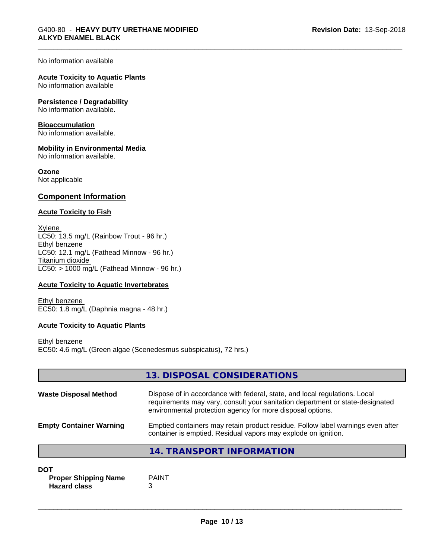#### No information available

### **Acute Toxicity to Aquatic Plants**

No information available

#### **Persistence / Degradability**

No information available.

#### **Bioaccumulation**

No information available.

### **Mobility in Environmental Media**

No information available.

### **Ozone**

Not applicable

### **Component Information**

### **Acute Toxicity to Fish**

Xylene LC50: 13.5 mg/L (Rainbow Trout - 96 hr.) Ethyl benzene LC50: 12.1 mg/L (Fathead Minnow - 96 hr.) Titanium dioxide  $LC50:$  > 1000 mg/L (Fathead Minnow - 96 hr.)

### **Acute Toxicity to Aquatic Invertebrates**

Ethyl benzene EC50: 1.8 mg/L (Daphnia magna - 48 hr.)

### **Acute Toxicity to Aquatic Plants**

Ethyl benzene EC50: 4.6 mg/L (Green algae (Scenedesmus subspicatus), 72 hrs.)

|                                | 13. DISPOSAL CONSIDERATIONS                                                                                                                                                                                               |
|--------------------------------|---------------------------------------------------------------------------------------------------------------------------------------------------------------------------------------------------------------------------|
| <b>Waste Disposal Method</b>   | Dispose of in accordance with federal, state, and local regulations. Local<br>requirements may vary, consult your sanitation department or state-designated<br>environmental protection agency for more disposal options. |
| <b>Empty Container Warning</b> | Emptied containers may retain product residue. Follow label warnings even after<br>container is emptied. Residual vapors may explode on ignition.                                                                         |

# **14. TRANSPORT INFORMATION**

### **DOT**

**Proper Shipping Name** PAINT **Hazard class** 3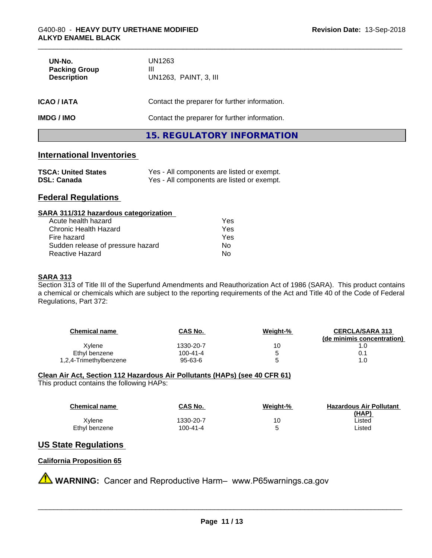| UN-No.<br><b>Packing Group</b><br><b>Description</b> | UN1263<br>Ш<br>UN1263, PAINT, 3, III          |  |  |
|------------------------------------------------------|-----------------------------------------------|--|--|
| <b>ICAO/IATA</b>                                     | Contact the preparer for further information. |  |  |
| <b>IMDG/IMO</b>                                      | Contact the preparer for further information. |  |  |
|                                                      | 15. REGULATORY INFORMATION                    |  |  |

# **International Inventories**

| <b>TSCA: United States</b> | Yes - All components are listed or exempt. |
|----------------------------|--------------------------------------------|
| <b>DSL: Canada</b>         | Yes - All components are listed or exempt. |

# **Federal Regulations**

| SARA 311/312 hazardous categorization |  |
|---------------------------------------|--|
|                                       |  |

| Acute health hazard               | Yes |
|-----------------------------------|-----|
| Chronic Health Hazard             | Yes |
| Fire hazard                       | Yes |
| Sudden release of pressure hazard | Nο  |
| Reactive Hazard                   | N٥  |

### **SARA 313**

Section 313 of Title III of the Superfund Amendments and Reauthorization Act of 1986 (SARA). This product contains a chemical or chemicals which are subject to the reporting requirements of the Act and Title 40 of the Code of Federal Regulations, Part 372:

| <b>Chemical name</b>   | CAS No.   | Weight-% | <b>CERCLA/SARA 313</b><br>(de minimis concentration) |
|------------------------|-----------|----------|------------------------------------------------------|
| Xylene                 | 1330-20-7 | 10       |                                                      |
| Ethyl benzene          | 100-41-4  | 5        | U. 1                                                 |
| 1,2,4-Trimethylbenzene | 95-63-6   | 5        | 1.0                                                  |

# **Clean Air Act,Section 112 Hazardous Air Pollutants (HAPs) (see 40 CFR 61)**

This product contains the following HAPs:

| <b>Chemical name</b> | <b>CAS No.</b> | Weiaht-% | <b>Hazardous Air Pollutant</b> |
|----------------------|----------------|----------|--------------------------------|
| Xvlene               | 1330-20-7      | 10       | (HAP)<br>∟isted                |
| Ethyl benzene        | 100-41-4       |          | Listed                         |

# **US State Regulations**

## **California Proposition 65**

**A** WARNING: Cancer and Reproductive Harm– www.P65warnings.ca.gov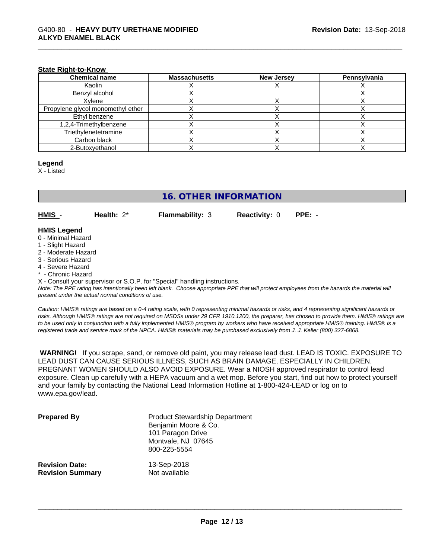#### **State Right-to-Know**

| <b>Chemical name</b>              | <b>Massachusetts</b> | <b>New Jersey</b> | Pennsylvania |
|-----------------------------------|----------------------|-------------------|--------------|
| Kaolin                            |                      |                   |              |
| Benzyl alcohol                    |                      |                   |              |
| Xvlene                            |                      |                   |              |
| Propylene glycol monomethyl ether |                      |                   |              |
| Ethyl benzene                     |                      |                   |              |
| 1,2,4-Trimethylbenzene            |                      |                   |              |
| Triethylenetetramine              |                      |                   |              |
| Carbon black                      |                      |                   |              |
| 2-Butoxyethanol                   |                      |                   |              |

### **Legend**

X - Listed

# **16. OTHER INFORMATION**

**HMIS** - **Health:** 2\* **Flammability:** 3 **Reactivity:** 0 **PPE:** -

# **HMIS Legend**

- 0 Minimal Hazard
- 1 Slight Hazard
- 2 Moderate Hazard
- 3 Serious Hazard
- 4 Severe Hazard
- Chronic Hazard

X - Consult your supervisor or S.O.P. for "Special" handling instructions.

*Note: The PPE rating has intentionally been left blank. Choose appropriate PPE that will protect employees from the hazards the material will present under the actual normal conditions of use.*

*Caution: HMISÒ ratings are based on a 0-4 rating scale, with 0 representing minimal hazards or risks, and 4 representing significant hazards or risks. Although HMISÒ ratings are not required on MSDSs under 29 CFR 1910.1200, the preparer, has chosen to provide them. HMISÒ ratings are to be used only in conjunction with a fully implemented HMISÒ program by workers who have received appropriate HMISÒ training. HMISÒ is a registered trade and service mark of the NPCA. HMISÒ materials may be purchased exclusively from J. J. Keller (800) 327-6868.*

 **WARNING!** If you scrape, sand, or remove old paint, you may release lead dust. LEAD IS TOXIC. EXPOSURE TO LEAD DUST CAN CAUSE SERIOUS ILLNESS, SUCH AS BRAIN DAMAGE, ESPECIALLY IN CHILDREN. PREGNANT WOMEN SHOULD ALSO AVOID EXPOSURE.Wear a NIOSH approved respirator to control lead exposure. Clean up carefully with a HEPA vacuum and a wet mop. Before you start, find out how to protect yourself and your family by contacting the National Lead Information Hotline at 1-800-424-LEAD or log on to www.epa.gov/lead.

| <b>Prepared By</b>      | <b>Product Stewardship Department</b><br>Benjamin Moore & Co.<br>101 Paragon Drive<br>Montvale, NJ 07645<br>800-225-5554 |
|-------------------------|--------------------------------------------------------------------------------------------------------------------------|
| <b>Revision Date:</b>   | 13-Sep-2018                                                                                                              |
| <b>Revision Summary</b> | Not available                                                                                                            |